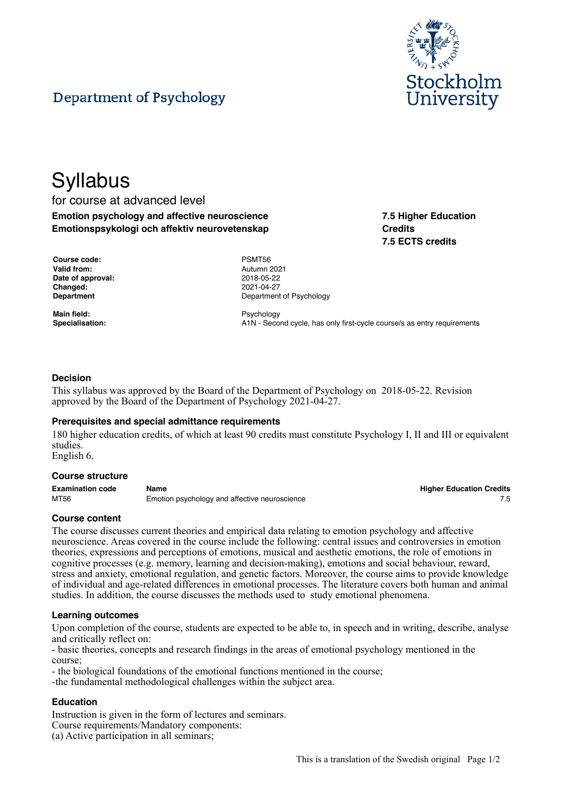

**7.5 Higher Education**

**7.5 ECTS credits**

**Credits**

# Department of Psychology

# **Syllabus**

# for course at advanced level **Emotion psychology and affective neuroscience Emotionspsykologi och affektiv neurovetenskap**

**Course code:** PSMT56 **Valid from:** Autumn 2021 **Date of approval:** 2018-05-22 **Changed:** 2021-04-27

**Main field:** Psychology

**Department** Department **Department** Of Psychology

Specialisation: **A1N** - Second cycle, has only first-cycle course/s as entry requirements

# **Decision**

This syllabus was approved by the Board of the Department of Psychology on 2018-05-22. Revision approved by the Board of the Department of Psychology 2021-04-27.

#### **Prerequisites and special admittance requirements**

180 higher education credits, of which at least 90 credits must constitute Psychology I, II and III or equivalent studies.

English 6.

#### **Course structure**

| <b>Examination code</b> | Name                                          | <b>Higher Education Credits</b> |
|-------------------------|-----------------------------------------------|---------------------------------|
| MT56                    | Emotion psychology and affective neuroscience |                                 |

# **Course content**

The course discusses current theories and empirical data relating to emotion psychology and affective neuroscience. Areas covered in the course include the following: central issues and controversies in emotion theories, expressions and perceptions of emotions, musical and aesthetic emotions, the role of emotions in cognitive processes (e.g. memory, learning and decision-making), emotions and social behaviour, reward, stress and anxiety, emotional regulation, and genetic factors. Moreover, the course aims to provide knowledge of individual and age-related differences in emotional processes. The literature covers both human and animal studies. In addition, the course discusses the methods used to study emotional phenomena.

#### **Learning outcomes**

Upon completion of the course, students are expected to be able to, in speech and in writing, describe, analyse and critically reflect on:

- basic theories, concepts and research findings in the areas of emotional psychology mentioned in the course;

- the biological foundations of the emotional functions mentioned in the course;

-the fundamental methodological challenges within the subject area.

# **Education**

Instruction is given in the form of lectures and seminars. Course requirements/Mandatory components: (a) Active participation in all seminars;